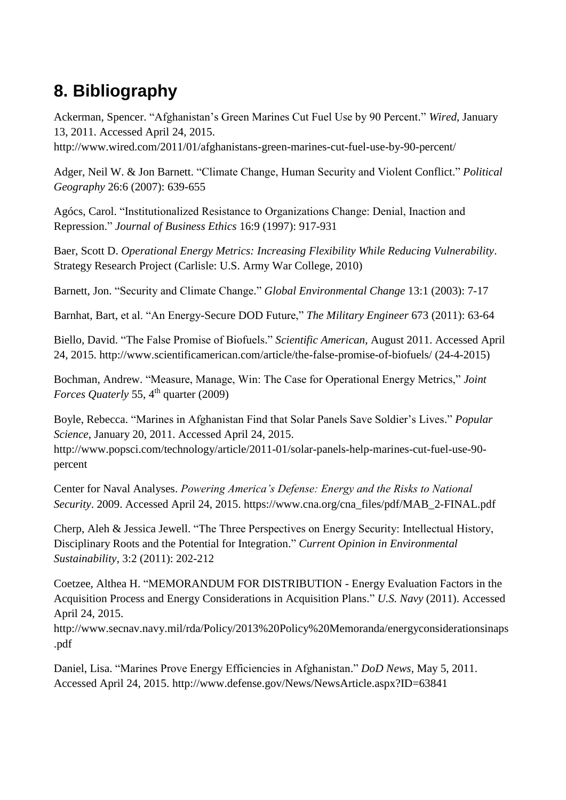## **8. Bibliography**

Ackerman, Spencer. "Afghanistan's Green Marines Cut Fuel Use by 90 Percent." *Wired*, January 13, 2011. Accessed April 24, 2015.

<http://www.wired.com/2011/01/afghanistans-green-marines-cut-fuel-use-by-90-percent/>

Adger, Neil W. & Jon Barnett. "Climate Change, Human Security and Violent Conflict." *Political Geography* 26:6 (2007): 639-655

Agócs, Carol. "Institutionalized Resistance to Organizations Change: Denial, Inaction and Repression." *Journal of Business Ethics* 16:9 (1997): 917-931

Baer, Scott D. *Operational Energy Metrics: Increasing Flexibility While Reducing Vulnerability*. Strategy Research Project (Carlisle: U.S. Army War College, 2010)

Barnett, Jon. "Security and Climate Change." *Global Environmental Change* 13:1 (2003): 7-17

Barnhat, Bart, et al. "An Energy-Secure DOD Future," *The Military Engineer* 673 (2011): 63-64

Biello, David. "The False Promise of Biofuels." *Scientific American*, August 2011. Accessed April 24, 2015.<http://www.scientificamerican.com/article/the-false-promise-of-biofuels/> (24-4-2015)

Bochman, Andrew. "Measure, Manage, Win: The Case for Operational Energy Metrics," *Joint Forces Quaterly* 55, 4<sup>th</sup> quarter (2009)

Boyle, Rebecca. "Marines in Afghanistan Find that Solar Panels Save Soldier's Lives." *Popular Science*, January 20, 2011. Accessed April 24, 2015. [http://www.popsci.com/technology/article/2011-01/solar-panels-help-marines-cut-fuel-use-90](http://www.popsci.com/technology/article/2011-01/solar-panels-help-marines-cut-fuel-use-90-percent) [percent](http://www.popsci.com/technology/article/2011-01/solar-panels-help-marines-cut-fuel-use-90-percent)

Center for Naval Analyses. *Powering America's Defense: Energy and the Risks to National Security*. 2009. Accessed April 24, 2015. https://www.cna.org/cna\_files/pdf/MAB\_2-FINAL.pdf

Cherp, Aleh & Jessica Jewell. "The Three Perspectives on Energy Security: Intellectual History, Disciplinary Roots and the Potential for Integration." *Current Opinion in Environmental Sustainability*, 3:2 (2011): 202-212

Coetzee, Althea H. "MEMORANDUM FOR DISTRIBUTION - Energy Evaluation Factors in the Acquisition Process and Energy Considerations in Acquisition Plans." *U.S. Navy* (2011). Accessed April 24, 2015.

[http://www.secnav.navy.mil/rda/Policy/2013%20Policy%20Memoranda/energyconsiderationsinaps](http://www.secnav.navy.mil/rda/Policy/2013%20Policy%20Memoranda/energyconsiderationsinaps.pdf) [.pdf](http://www.secnav.navy.mil/rda/Policy/2013%20Policy%20Memoranda/energyconsiderationsinaps.pdf)

Daniel, Lisa. "Marines Prove Energy Efficiencies in Afghanistan." *DoD News*, May 5, 2011. Accessed April 24, 2015. <http://www.defense.gov/News/NewsArticle.aspx?ID=63841>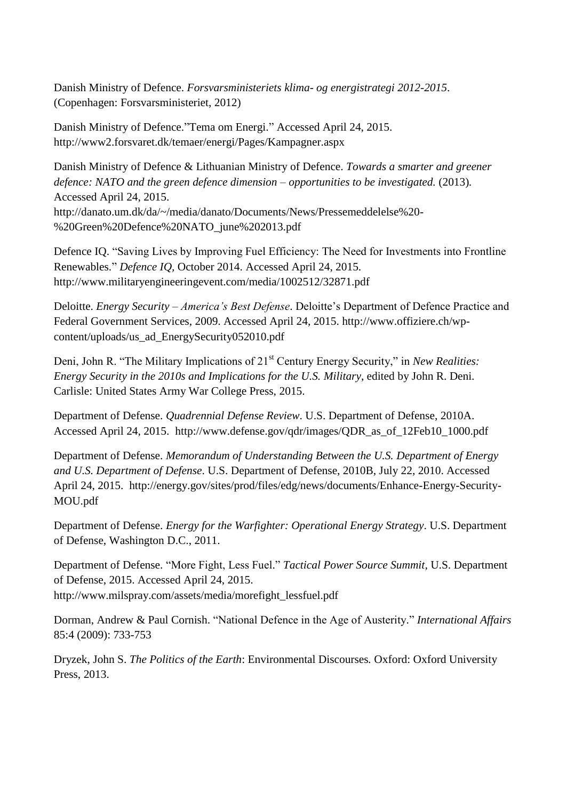Danish Ministry of Defence. *Forsvarsministeriets klima- og energistrategi 2012-2015*. (Copenhagen: Forsvarsministeriet, 2012)

Danish Ministry of Defence."Tema om Energi." Accessed April 24, 2015. <http://www2.forsvaret.dk/temaer/energi/Pages/Kampagner.aspx>

Danish Ministry of Defence & Lithuanian Ministry of Defence. *Towards a smarter and greener defence: NATO and the green defence dimension – opportunities to be investigated.* (2013)*.* Accessed April 24, 2015. [http://danato.um.dk/da/~/media/danato/Documents/News/Pressemeddelelse%20-](http://danato.um.dk/da/~/media/danato/Documents/News/Pressemeddelelse%20-%20Green%20Defence%20NATO_june%202013.pdf) [%20Green%20Defence%20NATO\\_june%202013.pdf](http://danato.um.dk/da/~/media/danato/Documents/News/Pressemeddelelse%20-%20Green%20Defence%20NATO_june%202013.pdf)

Defence IQ. "Saving Lives by Improving Fuel Efficiency: The Need for Investments into Frontline Renewables." *Defence IQ,* October 2014. Accessed April 24, 2015. <http://www.militaryengineeringevent.com/media/1002512/32871.pdf>

Deloitte. *Energy Security – America's Best Defense*. Deloitte's Department of Defence Practice and Federal Government Services, 2009. Accessed April 24, 2015. [http://www.offiziere.ch/wp](http://www.offiziere.ch/wp-content/uploads/us_ad_EnergySecurity052010.pdf)[content/uploads/us\\_ad\\_EnergySecurity052010.pdf](http://www.offiziere.ch/wp-content/uploads/us_ad_EnergySecurity052010.pdf)

Deni, John R. "The Military Implications of 21<sup>st</sup> Century Energy Security," in *New Realities: Energy Security in the 2010s and Implications for the U.S. Military*, edited by John R. Deni. Carlisle: United States Army War College Press, 2015.

Department of Defense. *Quadrennial Defense Review*. U.S. Department of Defense, 2010A. Accessed April 24, 2015. [http://www.defense.gov/qdr/images/QDR\\_as\\_of\\_12Feb10\\_1000.pdf](http://www.defense.gov/qdr/images/QDR_as_of_12Feb10_1000.pdf)

Department of Defense. *Memorandum of Understanding Between the U.S. Department of Energy and U.S. Department of Defense*. U.S. Department of Defense, 2010B, July 22, 2010. Accessed April 24, 2015. [http://energy.gov/sites/prod/files/edg/news/documents/Enhance-Energy-Security-](http://energy.gov/sites/prod/files/edg/news/documents/Enhance-Energy-Security-MOU.pdf)[MOU.pdf](http://energy.gov/sites/prod/files/edg/news/documents/Enhance-Energy-Security-MOU.pdf)

Department of Defense. *Energy for the Warfighter: Operational Energy Strategy*. U.S. Department of Defense, Washington D.C., 2011.

Department of Defense. "More Fight, Less Fuel." *Tactical Power Source Summit,* U.S. Department of Defense, 2015. Accessed April 24, 2015. [http://www.milspray.com/assets/media/morefight\\_lessfuel.pdf](http://www.milspray.com/assets/media/morefight_lessfuel.pdf)

Dorman, Andrew & Paul Cornish. "National Defence in the Age of Austerity." *International Affairs* 85:4 (2009): 733-753

Dryzek, John S. *The Politics of the Earth*: Environmental Discourses*.* Oxford: Oxford University Press, 2013.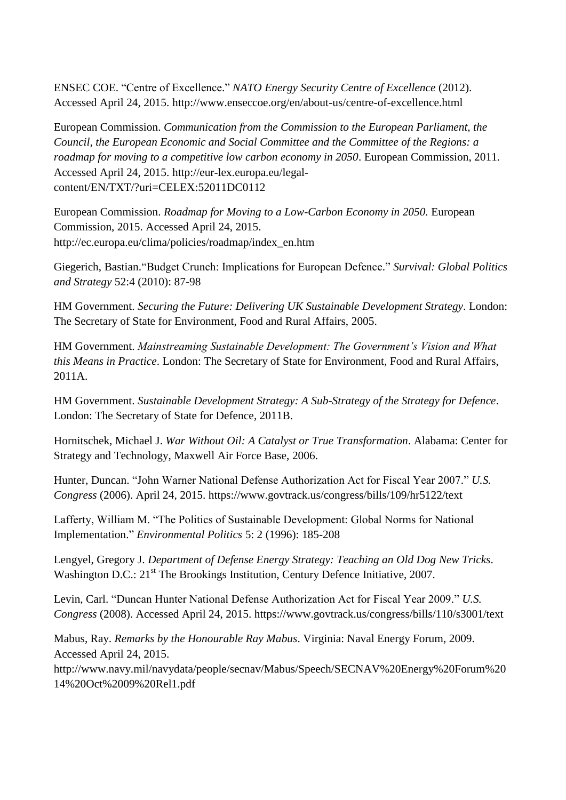ENSEC COE. "Centre of Excellence." *NATO Energy Security Centre of Excellence* (2012). Accessed April 24, 2015.<http://www.enseccoe.org/en/about-us/centre-of-excellence.html>

European Commission. *Communication from the Commission to the European Parliament, the Council, the European Economic and Social Committee and the Committee of the Regions: a roadmap for moving to a competitive low carbon economy in 2050*. European Commission, 2011. Accessed April 24, 2015. [http://eur-lex.europa.eu/legal](http://eur-lex.europa.eu/legal-content/EN/TXT/?uri=CELEX:52011DC0112)[content/EN/TXT/?uri=CELEX:52011DC0112](http://eur-lex.europa.eu/legal-content/EN/TXT/?uri=CELEX:52011DC0112)

European Commission. *Roadmap for Moving to a Low-Carbon Economy in 2050.* European Commission, 2015. Accessed April 24, 2015. [http://ec.europa.eu/clima/policies/roadmap/index\\_en.htm](http://ec.europa.eu/clima/policies/roadmap/index_en.htm)

Giegerich, Bastian."Budget Crunch: Implications for European Defence." *Survival: Global Politics and Strategy* 52:4 (2010): 87-98

HM Government. *Securing the Future: Delivering UK Sustainable Development Strategy*. London: The Secretary of State for Environment, Food and Rural Affairs, 2005.

HM Government. *Mainstreaming Sustainable Development: The Government's Vision and What this Means in Practice*. London: The Secretary of State for Environment, Food and Rural Affairs, 2011A.

HM Government. *Sustainable Development Strategy: A Sub-Strategy of the Strategy for Defence*. London: The Secretary of State for Defence, 2011B.

Hornitschek, Michael J. *War Without Oil: A Catalyst or True Transformation*. Alabama: Center for Strategy and Technology, Maxwell Air Force Base, 2006.

Hunter, Duncan. "John Warner National Defense Authorization Act for Fiscal Year 2007." *U.S. Congress* (2006). April 24, 2015. <https://www.govtrack.us/congress/bills/109/hr5122/text>

Lafferty, William M. "The Politics of Sustainable Development: Global Norms for National Implementation." *Environmental Politics* 5: 2 (1996): 185-208

Lengyel, Gregory J. *Department of Defense Energy Strategy: Teaching an Old Dog New Tricks*. Washington D.C.: 21<sup>st</sup> The Brookings Institution, Century Defence Initiative, 2007.

Levin, Carl. "Duncan Hunter National Defense Authorization Act for Fiscal Year 2009." *U.S. Congress* (2008). Accessed April 24, 2015. <https://www.govtrack.us/congress/bills/110/s3001/text>

Mabus, Ray. *Remarks by the Honourable Ray Mabus*. Virginia: Naval Energy Forum, 2009. Accessed April 24, 2015.

[http://www.navy.mil/navydata/people/secnav/Mabus/Speech/SECNAV%20Energy%20Forum%20](http://www.navy.mil/navydata/people/secnav/Mabus/Speech/SECNAV%20Energy%20Forum%2014%20Oct%2009%20Rel1.pdf) [14%20Oct%2009%20Rel1.pdf](http://www.navy.mil/navydata/people/secnav/Mabus/Speech/SECNAV%20Energy%20Forum%2014%20Oct%2009%20Rel1.pdf)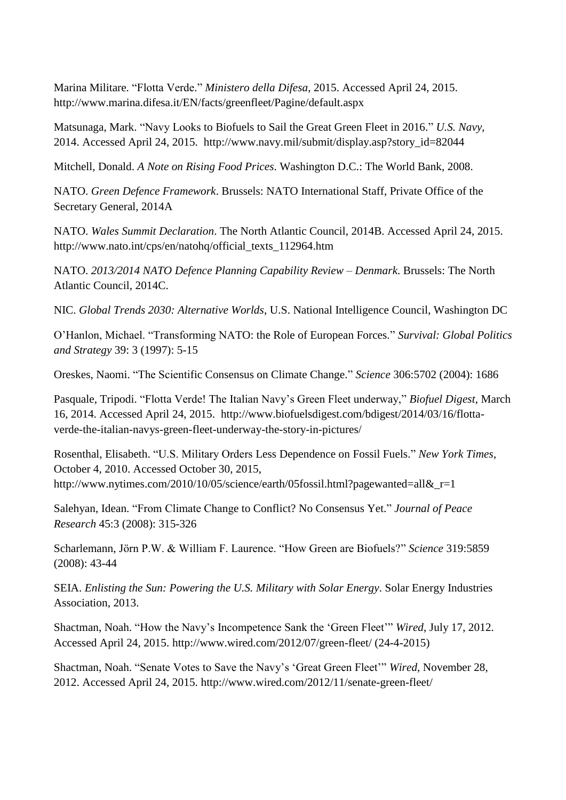Marina Militare. "Flotta Verde." *Ministero della Difesa*, 2015. Accessed April 24, 2015. <http://www.marina.difesa.it/EN/facts/greenfleet/Pagine/default.aspx>

Matsunaga, Mark. "Navy Looks to Biofuels to Sail the Great Green Fleet in 2016." *U.S. Navy*, 2014. Accessed April 24, 2015. [http://www.navy.mil/submit/display.asp?story\\_id=82044](http://www.navy.mil/submit/display.asp?story_id=82044)

Mitchell, Donald. *A Note on Rising Food Prices*. Washington D.C.: The World Bank, 2008.

NATO. *Green Defence Framework*. Brussels: NATO International Staff, Private Office of the Secretary General, 2014A

NATO. *Wales Summit Declaration*. The North Atlantic Council, 2014B. Accessed April 24, 2015. [http://www.nato.int/cps/en/natohq/official\\_texts\\_112964.htm](http://www.nato.int/cps/en/natohq/official_texts_112964.htm)

NATO. *2013/2014 NATO Defence Planning Capability Review – Denmark*. Brussels: The North Atlantic Council, 2014C.

NIC. *Global Trends 2030: Alternative Worlds*, U.S. National Intelligence Council, Washington DC

O'Hanlon, Michael. "Transforming NATO: the Role of European Forces." *Survival: Global Politics and Strategy* 39: 3 (1997): 5-15

Oreskes, Naomi. "The Scientific Consensus on Climate Change." *Science* 306:5702 (2004): 1686

Pasquale, Tripodi. "Flotta Verde! The Italian Navy's Green Fleet underway," *Biofuel Digest*, March 16, 2014. Accessed April 24, 2015. [http://www.biofuelsdigest.com/bdigest/2014/03/16/flotta](http://www.biofuelsdigest.com/bdigest/2014/03/16/flotta-verde-the-italian-navys-green-fleet-underway-the-story-in-pictures/)[verde-the-italian-navys-green-fleet-underway-the-story-in-pictures/](http://www.biofuelsdigest.com/bdigest/2014/03/16/flotta-verde-the-italian-navys-green-fleet-underway-the-story-in-pictures/)

Rosenthal, Elisabeth. "U.S. Military Orders Less Dependence on Fossil Fuels." *New York Times*, October 4, 2010. Accessed October 30, 2015, http://www.nytimes.com/2010/10/05/science/earth/05fossil.html?pagewanted=all&r=1

Salehyan, Idean. "From Climate Change to Conflict? No Consensus Yet." *Journal of Peace Research* 45:3 (2008): 315-326

Scharlemann, Jörn P.W. & William F. Laurence. "How Green are Biofuels?" *Science* 319:5859 (2008): 43-44

SEIA. *Enlisting the Sun: Powering the U.S. Military with Solar Energy*. Solar Energy Industries Association, 2013.

Shactman, Noah. "How the Navy's Incompetence Sank the 'Green Fleet'" *Wired*, July 17, 2012. Accessed April 24, 2015. <http://www.wired.com/2012/07/green-fleet/> (24-4-2015)

Shactman, Noah. "Senate Votes to Save the Navy's 'Great Green Fleet'" *Wired*, November 28, 2012. Accessed April 24, 2015. <http://www.wired.com/2012/11/senate-green-fleet/>